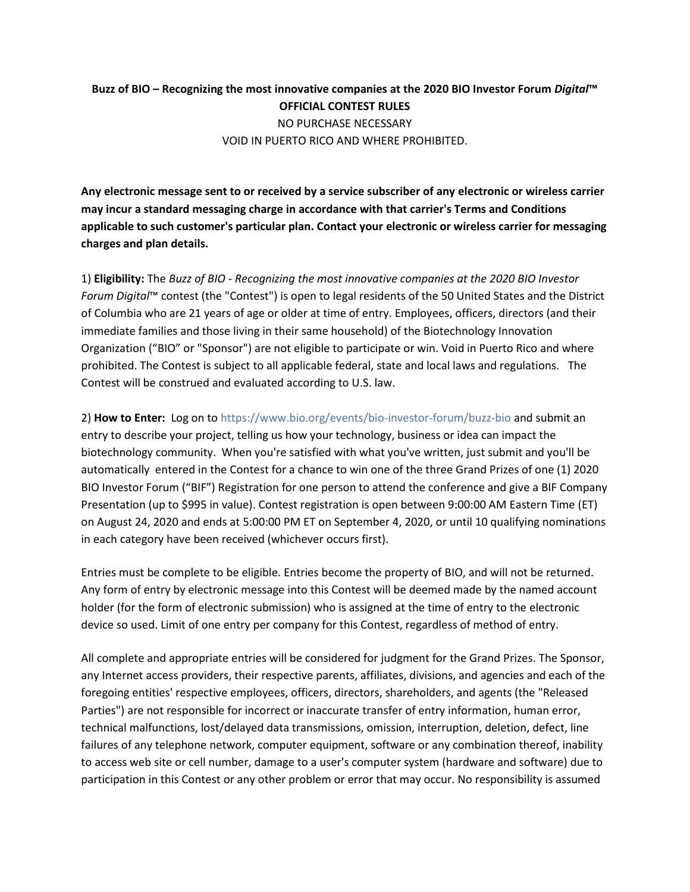## **Buzz of BIO – Recognizing the most innovative companies at the 2020 BIO Investor Forum** *Digital***™ OFFICIAL CONTEST RULES** NO PURCHASE NECESSARY VOID IN PUERTO RICO AND WHERE PROHIBITED.

**Any electronic message sent to or received by a service subscriber of any electronic or wireless carrier may incur a standard messaging charge in accordance with that carrier's Terms and Conditions applicable to such customer's particular plan. Contact your electronic or wireless carrier for messaging charges and plan details.**

1) **Eligibility:** The *Buzz of BIO - Recognizing the most innovative companies at the 2020 BIO Investor Forum Digital*™ contest (the "Contest") is open to legal residents of the 50 United States and the District of Columbia who are 21 years of age or older at time of entry. Employees, officers, directors (and their immediate families and those living in their same household) of the Biotechnology Innovation Organization ("BIO" or "Sponsor") are not eligible to participate or win. Void in Puerto Rico and where prohibited. The Contest is subject to all applicable federal, state and local laws and regulations. The Contest will be construed and evaluated according to U.S. law.

2) **How to Enter:** Log on to<https://www.bio.org/events/bio-investor-forum/buzz-bio> and submit an entry to describe your project, telling us how your technology, business or idea can impact the biotechnology community. When you're satisfied with what you've written, just submit and you'll be automatically entered in the Contest for a chance to win one of the three Grand Prizes of one (1) 2020 BIO Investor Forum ("BIF") Registration for one person to attend the conference and give a BIF Company Presentation (up to \$995 in value). Contest registration is open between 9:00:00 AM Eastern Time (ET) on August 24, 2020 and ends at 5:00:00 PM ET on September 4, 2020, or until 10 qualifying nominations in each category have been received (whichever occurs first).

Entries must be complete to be eligible. Entries become the property of BIO, and will not be returned. Any form of entry by electronic message into this Contest will be deemed made by the named account holder (for the form of electronic submission) who is assigned at the time of entry to the electronic device so used. Limit of one entry per company for this Contest, regardless of method of entry.

All complete and appropriate entries will be considered for judgment for the Grand Prizes. The Sponsor, any Internet access providers, their respective parents, affiliates, divisions, and agencies and each of the foregoing entities' respective employees, officers, directors, shareholders, and agents (the "Released Parties") are not responsible for incorrect or inaccurate transfer of entry information, human error, technical malfunctions, lost/delayed data transmissions, omission, interruption, deletion, defect, line failures of any telephone network, computer equipment, software or any combination thereof, inability to access web site or cell number, damage to a user's computer system (hardware and software) due to participation in this Contest or any other problem or error that may occur. No responsibility is assumed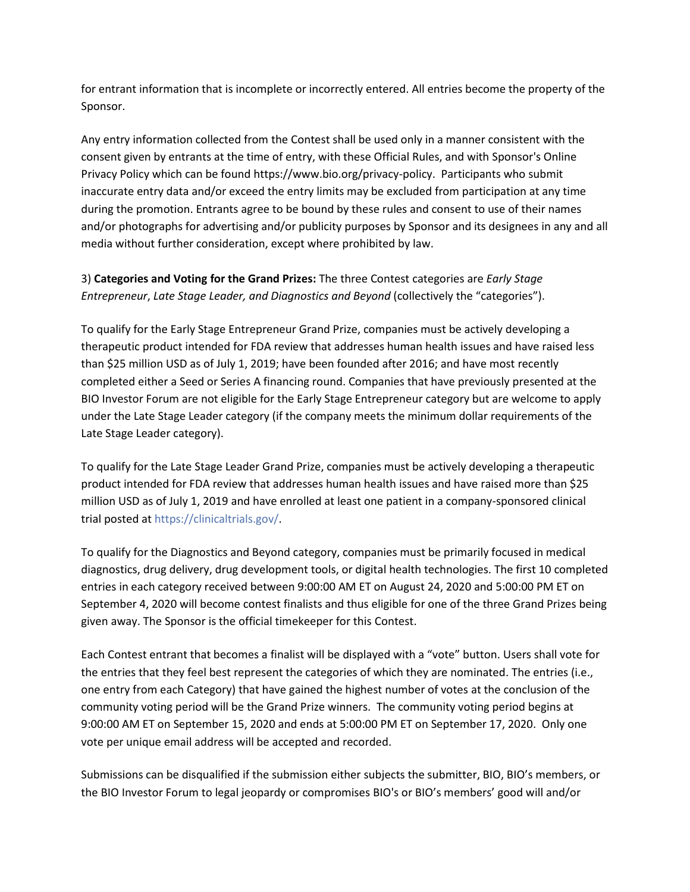for entrant information that is incomplete or incorrectly entered. All entries become the property of the Sponsor.

Any entry information collected from the Contest shall be used only in a manner consistent with the consent given by entrants at the time of entry, with these Official Rules, and with Sponsor's Online Privacy Policy which can be found https://www.bio.org/privacy-policy. Participants who submit inaccurate entry data and/or exceed the entry limits may be excluded from participation at any time during the promotion. Entrants agree to be bound by these rules and consent to use of their names and/or photographs for advertising and/or publicity purposes by Sponsor and its designees in any and all media without further consideration, except where prohibited by law.

3) **Categories and Voting for the Grand Prizes:** The three Contest categories are *Early Stage Entrepreneur*, *Late Stage Leader, and Diagnostics and Beyond* (collectively the "categories").

To qualify for the Early Stage Entrepreneur Grand Prize, companies must be actively developing a therapeutic product intended for FDA review that addresses human health issues and have raised less than \$25 million USD as of July 1, 2019; have been founded after 2016; and have most recently completed either a Seed or Series A financing round. Companies that have previously presented at the BIO Investor Forum are not eligible for the Early Stage Entrepreneur category but are welcome to apply under the Late Stage Leader category (if the company meets the minimum dollar requirements of the Late Stage Leader category).

To qualify for the Late Stage Leader Grand Prize, companies must be actively developing a therapeutic product intended for FDA review that addresses human health issues and have raised more than \$25 million USD as of July 1, 2019 and have enrolled at least one patient in a company-sponsored clinical trial posted at [https://clinicaltrials.gov/.](https://clinicaltrials.gov/)

To qualify for the Diagnostics and Beyond category, companies must be primarily focused in medical diagnostics, drug delivery, drug development tools, or digital health technologies. The first 10 completed entries in each category received between 9:00:00 AM ET on August 24, 2020 and 5:00:00 PM ET on September 4, 2020 will become contest finalists and thus eligible for one of the three Grand Prizes being given away. The Sponsor is the official timekeeper for this Contest.

Each Contest entrant that becomes a finalist will be displayed with a "vote" button. Users shall vote for the entries that they feel best represent the categories of which they are nominated. The entries (i.e., one entry from each Category) that have gained the highest number of votes at the conclusion of the community voting period will be the Grand Prize winners. The community voting period begins at 9:00:00 AM ET on September 15, 2020 and ends at 5:00:00 PM ET on September 17, 2020. Only one vote per unique email address will be accepted and recorded.

Submissions can be disqualified if the submission either subjects the submitter, BIO, BIO's members, or the BIO Investor Forum to legal jeopardy or compromises BIO's or BIO's members' good will and/or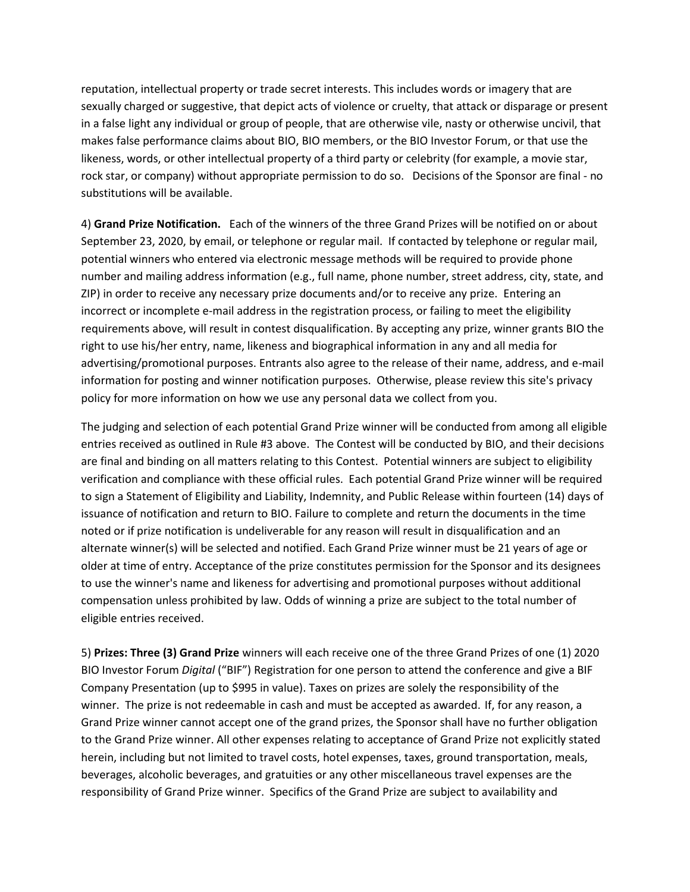reputation, intellectual property or trade secret interests. This includes words or imagery that are sexually charged or suggestive, that depict acts of violence or cruelty, that attack or disparage or present in a false light any individual or group of people, that are otherwise vile, nasty or otherwise uncivil, that makes false performance claims about BIO, BIO members, or the BIO Investor Forum, or that use the likeness, words, or other intellectual property of a third party or celebrity (for example, a movie star, rock star, or company) without appropriate permission to do so. Decisions of the Sponsor are final - no substitutions will be available.

4) **Grand Prize Notification.** Each of the winners of the three Grand Prizes will be notified on or about September 23, 2020, by email, or telephone or regular mail. If contacted by telephone or regular mail, potential winners who entered via electronic message methods will be required to provide phone number and mailing address information (e.g., full name, phone number, street address, city, state, and ZIP) in order to receive any necessary prize documents and/or to receive any prize. Entering an incorrect or incomplete e-mail address in the registration process, or failing to meet the eligibility requirements above, will result in contest disqualification. By accepting any prize, winner grants BIO the right to use his/her entry, name, likeness and biographical information in any and all media for advertising/promotional purposes. Entrants also agree to the release of their name, address, and e-mail information for posting and winner notification purposes. Otherwise, please review this site's privacy policy for more information on how we use any personal data we collect from you.

The judging and selection of each potential Grand Prize winner will be conducted from among all eligible entries received as outlined in Rule #3 above. The Contest will be conducted by BIO, and their decisions are final and binding on all matters relating to this Contest. Potential winners are subject to eligibility verification and compliance with these official rules. Each potential Grand Prize winner will be required to sign a Statement of Eligibility and Liability, Indemnity, and Public Release within fourteen (14) days of issuance of notification and return to BIO. Failure to complete and return the documents in the time noted or if prize notification is undeliverable for any reason will result in disqualification and an alternate winner(s) will be selected and notified. Each Grand Prize winner must be 21 years of age or older at time of entry. Acceptance of the prize constitutes permission for the Sponsor and its designees to use the winner's name and likeness for advertising and promotional purposes without additional compensation unless prohibited by law. Odds of winning a prize are subject to the total number of eligible entries received.

5) **Prizes: Three (3) Grand Prize** winners will each receive one of the three Grand Prizes of one (1) 2020 BIO Investor Forum *Digital* ("BIF") Registration for one person to attend the conference and give a BIF Company Presentation (up to \$995 in value). Taxes on prizes are solely the responsibility of the winner. The prize is not redeemable in cash and must be accepted as awarded. If, for any reason, a Grand Prize winner cannot accept one of the grand prizes, the Sponsor shall have no further obligation to the Grand Prize winner. All other expenses relating to acceptance of Grand Prize not explicitly stated herein, including but not limited to travel costs, hotel expenses, taxes, ground transportation, meals, beverages, alcoholic beverages, and gratuities or any other miscellaneous travel expenses are the responsibility of Grand Prize winner. Specifics of the Grand Prize are subject to availability and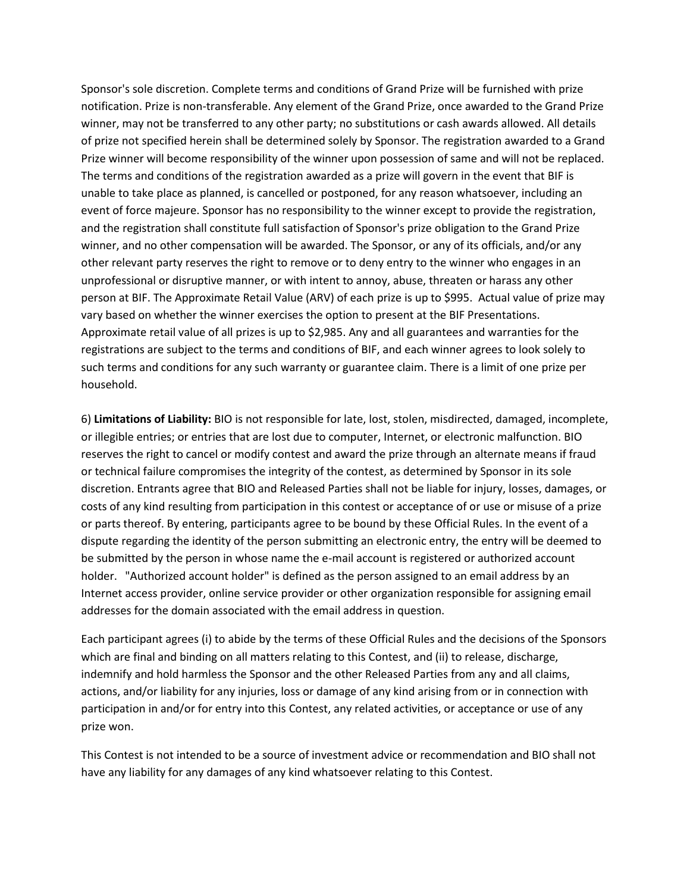Sponsor's sole discretion. Complete terms and conditions of Grand Prize will be furnished with prize notification. Prize is non-transferable. Any element of the Grand Prize, once awarded to the Grand Prize winner, may not be transferred to any other party; no substitutions or cash awards allowed. All details of prize not specified herein shall be determined solely by Sponsor. The registration awarded to a Grand Prize winner will become responsibility of the winner upon possession of same and will not be replaced. The terms and conditions of the registration awarded as a prize will govern in the event that BIF is unable to take place as planned, is cancelled or postponed, for any reason whatsoever, including an event of force majeure. Sponsor has no responsibility to the winner except to provide the registration, and the registration shall constitute full satisfaction of Sponsor's prize obligation to the Grand Prize winner, and no other compensation will be awarded. The Sponsor, or any of its officials, and/or any other relevant party reserves the right to remove or to deny entry to the winner who engages in an unprofessional or disruptive manner, or with intent to annoy, abuse, threaten or harass any other person at BIF. The Approximate Retail Value (ARV) of each prize is up to \$995. Actual value of prize may vary based on whether the winner exercises the option to present at the BIF Presentations. Approximate retail value of all prizes is up to \$2,985. Any and all guarantees and warranties for the registrations are subject to the terms and conditions of BIF, and each winner agrees to look solely to such terms and conditions for any such warranty or guarantee claim. There is a limit of one prize per household.

6) **Limitations of Liability:** BIO is not responsible for late, lost, stolen, misdirected, damaged, incomplete, or illegible entries; or entries that are lost due to computer, Internet, or electronic malfunction. BIO reserves the right to cancel or modify contest and award the prize through an alternate means if fraud or technical failure compromises the integrity of the contest, as determined by Sponsor in its sole discretion. Entrants agree that BIO and Released Parties shall not be liable for injury, losses, damages, or costs of any kind resulting from participation in this contest or acceptance of or use or misuse of a prize or parts thereof. By entering, participants agree to be bound by these Official Rules. In the event of a dispute regarding the identity of the person submitting an electronic entry, the entry will be deemed to be submitted by the person in whose name the e-mail account is registered or authorized account holder. "Authorized account holder" is defined as the person assigned to an email address by an Internet access provider, online service provider or other organization responsible for assigning email addresses for the domain associated with the email address in question.

Each participant agrees (i) to abide by the terms of these Official Rules and the decisions of the Sponsors which are final and binding on all matters relating to this Contest, and (ii) to release, discharge, indemnify and hold harmless the Sponsor and the other Released Parties from any and all claims, actions, and/or liability for any injuries, loss or damage of any kind arising from or in connection with participation in and/or for entry into this Contest, any related activities, or acceptance or use of any prize won.

This Contest is not intended to be a source of investment advice or recommendation and BIO shall not have any liability for any damages of any kind whatsoever relating to this Contest.